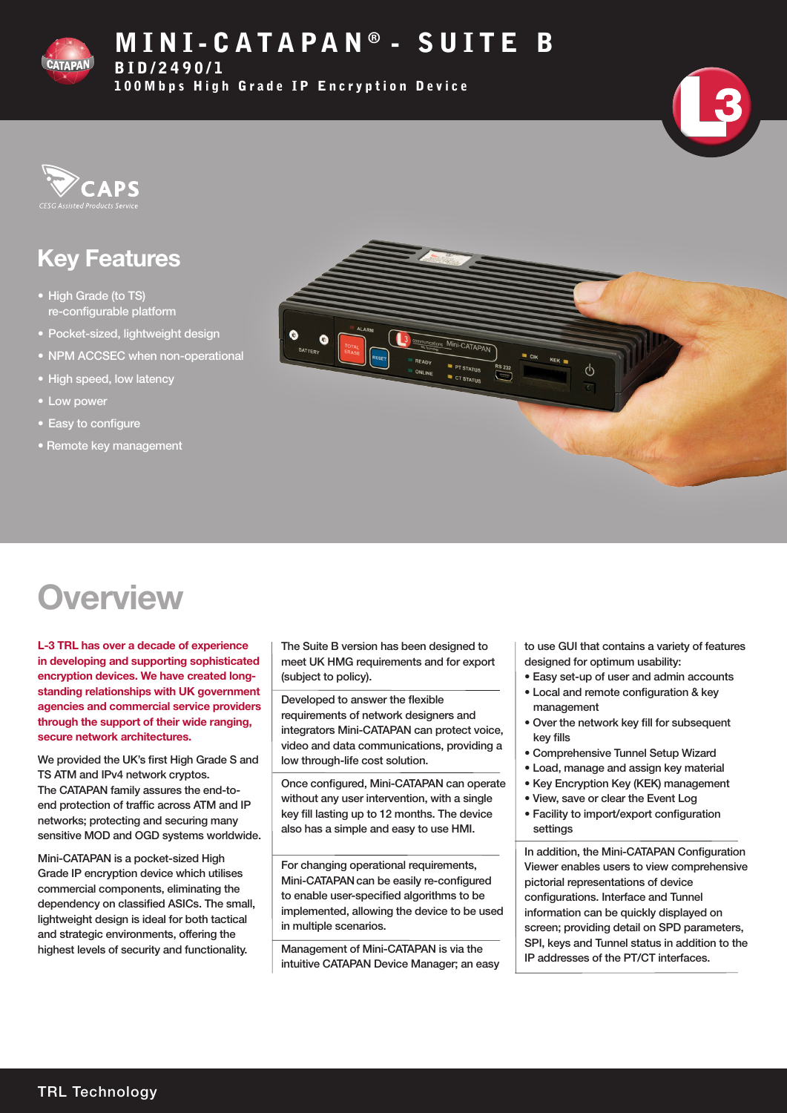

# MINI-CATAPAN® - SUITE B

BID/2490/1

100Mbps High Grade IP Encryption Device





# Key Features

- High Grade (to TS) re-configurable platform
- Pocket-sized, lightweight design
- NPM ACCSEC when non-operational
- High speed, low latency
- Low power
- Easy to configure
- Remote key management



# **Overview**

L-3 TRL has over a decade of experience in developing and supporting sophisticated encryption devices. We have created longstanding relationships with UK government agencies and commercial service providers through the support of their wide ranging, secure network architectures.

We provided the UK's first High Grade S and TS ATM and IPv4 network cryptos. The CATAPAN family assures the end-toend protection of traffic across ATM and IP networks; protecting and securing many sensitive MOD and OGD systems worldwide.

Mini-CATAPAN is a pocket-sized High Grade IP encryption device which utilises commercial components, eliminating the dependency on classified ASICs. The small, lightweight design is ideal for both tactical and strategic environments, offering the highest levels of security and functionality.

The Suite B version has been designed to meet UK HMG requirements and for export (subject to policy).

Developed to answer the flexible requirements of network designers and integrators Mini-CATAPAN can protect voice, video and data communications, providing a low through-life cost solution.

Once configured, Mini-CATAPAN can operate without any user intervention, with a single key fill lasting up to 12 months. The device also has a simple and easy to use HMI.

For changing operational requirements, Mini-CATAPANcan be easily re-configured to enable user-specified algorithms to be implemented, allowing the device to be used in multiple scenarios.

Management of Mini-CATAPAN is via the intuitive CATAPAN Device Manager; an easy to use GUI that contains a variety of features designed for optimum usability:

- Easy set-up of user and admin accounts
- Local and remote configuration & key management
- Over the network key fill for subsequent key fills
- Comprehensive Tunnel Setup Wizard
- Load, manage and assign key material
- Key Encryption Key (KEK) management
- View, save or clear the Event Log
- Facility to import/export configuration settings

In addition, the Mini-CATAPAN Configuration Viewer enables users to view comprehensive pictorial representations of device configurations. Interface and Tunnel information can be quickly displayed on screen; providing detail on SPD parameters, SPI, keys and Tunnel status in addition to the IP addresses of the PT/CT interfaces.